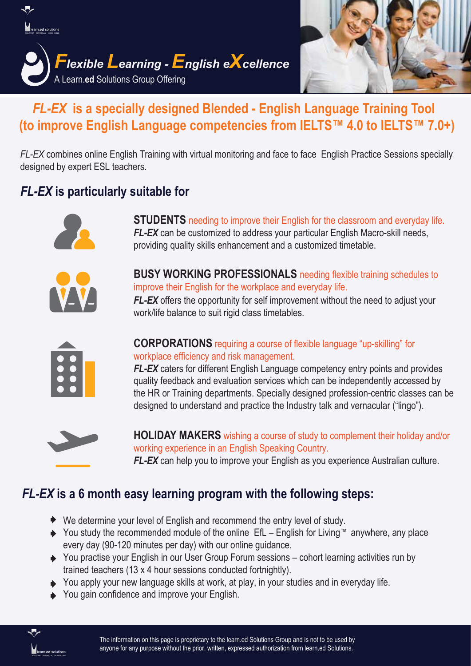



# *FL-EX* **is a specially designed Blended - English Language Training Tool (to improve English Language competencies from IELTS™ 4.0 to IELTS™ 7.0+)**

*FL-EX* combines online English Training with virtual monitoring and face to face English Practice Sessions specially designed by expert ESL teachers.

## *FL-EX* **is particularly suitable for**



**STUDENTS** needing to improve their English for the classroom and everyday life. *FL-EX* can be customized to address your particular English Macro-skill needs, providing quality skills enhancement and a customized timetable.



**BUSY WORKING PROFESSIONALS** needing flexible training schedules to improve their English for the workplace and everyday life.

*FL-EX* offers the opportunity for self improvement without the need to adjust your work/life balance to suit rigid class timetables.



**CORPORATIONS** requiring a course of flexible language "up-skilling" for workplace efficiency and risk management.

*FL-EX* caters for different English Language competency entry points and provides quality feedback and evaluation services which can be independently accessed by the HR or Training departments. Specially designed profession-centric classes can be designed to understand and practice the Industry talk and vernacular ("lingo").



**HOLIDAY MAKERS** wishing a course of study to complement their holiday and/or working experience in an English Speaking Country. *FL-EX* can help you to improve your English as you experience Australian culture.

## *FL-EX* **is a 6 month easy learning program with the following steps:**

- ◆ We determine your level of English and recommend the entry level of study.
- You study the recommended module of the online EfL English for Living™ anywhere, any place every day (90-120 minutes per day) with our online guidance.
- ◆ You practise your English in our User Group Forum sessions cohort learning activities run by trained teachers (13 x 4 hour sessions conducted fortnightly).
- You apply your new language skills at work, at play, in your studies and in everyday life.
- ◆ You gain confidence and improve your English.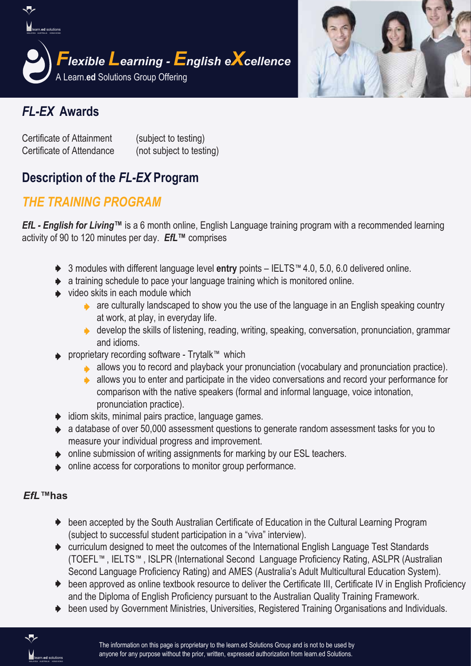



## *FL-EX* **Awards**

Certificate of Attainment (subject to testing) Certificate of Attendance (not subject to testing)

## **Description of the** *FL-EX* **Program**

## *THE TRAINING PROGRAM*

*EfL - English for Living™* is a 6 month online, English Language training program with a recommended learning activity of 90 to 120 minutes per day. *EfL™* comprises

- 3 modules with different language level **entry** points IELTS™4.0, 5.0, 6.0 delivered online.
- $\rightarrow$  a training schedule to pace your language training which is monitored online.
- $\rightarrow$  video skits in each module which
	- $\rightarrow$  are culturally landscaped to show you the use of the language in an English speaking country at work, at play, in everyday life.
	- $\rightarrow$  develop the skills of listening, reading, writing, speaking, conversation, pronunciation, grammar and idioms.
- proprietary recording software Trytalk™ which
	- allows you to record and playback your pronunciation (vocabulary and pronunciation practice).
	- $\rightarrow$  allows you to enter and participate in the video conversations and record your performance for comparison with the native speakers (formal and informal language, voice intonation, pronunciation practice).
- $\rightarrow$  idiom skits, minimal pairs practice, language games.
- a database of over 50,000 assessment questions to generate random assessment tasks for you to measure your individual progress and improvement.
- online submission of writing assignments for marking by our ESL teachers.
- online access for corporations to monitor group performance.

#### *EfL™***has**

- ◆ been accepted by the South Australian Certificate of Education in the Cultural Learning Program (subject to successful student participation in a "viva" interview).
- curriculum designed to meet the outcomes of the International English Language Test Standards (TOEFL™, IELTS™, ISLPR (International Second Language Proficiency Rating, ASLPR (Australian Second Language Proficiency Rating) and AMES (Australia's Adult Multicultural Education System).
- $\blacktriangleright$  been approved as online textbook resource to deliver the Certificate III, Certificate IV in English Proficiency and the Diploma of English Proficiency pursuant to the Australian Quality Training Framework.
- $\rightarrow$  been used by Government Ministries, Universities, Registered Training Organisations and Individuals.